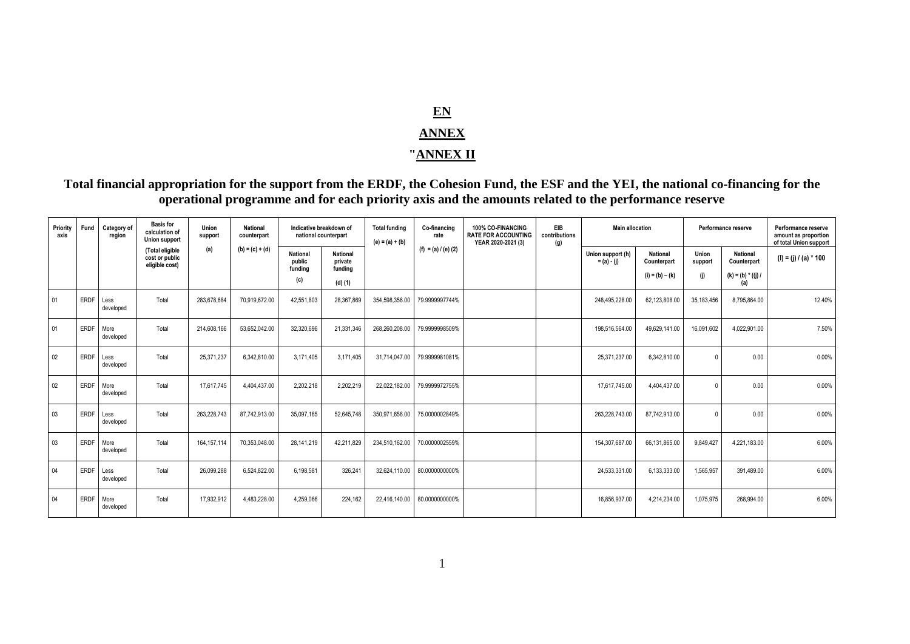## **EN ANNEX**

## **"ANNEX II**

**Total financial appropriation for the support from the ERDF, the Cohesion Fund, the ESF and the YEI, the national co-financing for the operational programme and for each priority axis and the amounts related to the performance reserve**

| Priority<br>axis | Fund        | Category of<br>region | <b>Basis for</b><br>calculation of<br>Union support | Union<br>support | <b>National</b><br>counterpart | Indicative breakdown of<br>national counterpart |                                       | <b>Total funding</b><br>$(e) = (a) + (b)$ | Co-financing<br>rate  | 100% CO-FINANCING<br><b>RATE FOR ACCOUNTING</b><br>YEAR 2020-2021 (3) | EIB<br>contributions<br>(g) | <b>Main allocation</b>             |                                | Performance reserve |                                | Performance reserve<br>amount as proportion<br>of total Union support |
|------------------|-------------|-----------------------|-----------------------------------------------------|------------------|--------------------------------|-------------------------------------------------|---------------------------------------|-------------------------------------------|-----------------------|-----------------------------------------------------------------------|-----------------------------|------------------------------------|--------------------------------|---------------------|--------------------------------|-----------------------------------------------------------------------|
|                  |             |                       | (Total eligible<br>cost or public<br>eligible cost) | (a)              | $(b) = (c) + (d)$              | <b>National</b><br>public<br>fundina            | <b>National</b><br>private<br>funding |                                           | $(f) = (a) / (e) (2)$ |                                                                       |                             | Union support (h)<br>$= (a) - (i)$ | <b>National</b><br>Counterpart | Union<br>support    | National<br>Counterpart        | $(I) = (j) / (a) * 100$                                               |
|                  |             |                       |                                                     |                  |                                | (c)                                             | $(d)$ $(1)$                           |                                           |                       |                                                                       |                             |                                    | $(i) = (b) - (k)$              | (j)                 | $(k) = (b) * ((j) / j)$<br>(a) |                                                                       |
| 01               | <b>ERDF</b> | Less<br>developed     | Total                                               | 283.678.684      | 70.919.672.00                  | 42,551,803                                      | 28,367,869                            | 354.598.356.00                            | 79.9999997744%        |                                                                       |                             | 248,495,228.00                     | 62.123.808.00                  | 35,183,456          | 8,795,864.00                   | 12.40%                                                                |
| 01               | ERDF        | More<br>developed     | Total                                               | 214.608.166      | 53.652.042.00                  | 32,320,696                                      | 21,331,346                            | 268.260.208.00                            | 79.9999998509%        |                                                                       |                             | 198,516,564.00                     | 49.629.141.00                  | 16.091.602          | 4,022,901.00                   | 7.50%                                                                 |
| 02               | <b>ERDF</b> | Less<br>developed     | Total                                               | 25.371.237       | 6.342.810.00                   | 3.171.405                                       | 3.171.405                             | 31.714.047.00                             | 79.9999981081%        |                                                                       |                             | 25.371.237.00                      | 6.342.810.00                   |                     | 0.00                           | 0.00%                                                                 |
| 02               | ERDF        | More<br>developed     | Total                                               | 17.617.745       | 4,404,437.00                   | 2,202,218                                       | 2,202,219                             | 22,022,182.00                             | 79.9999972755%        |                                                                       |                             | 17,617,745.00                      | 4.404.437.00                   |                     | 0.00                           | 0.00%                                                                 |
| 0 <sub>3</sub>   | <b>ERDF</b> | Less<br>developed     | Total                                               | 263,228,743      | 87,742,913.00                  | 35.097.165                                      | 52.645.748                            | 350.971.656.00                            | 75.0000002849%        |                                                                       |                             | 263.228.743.00                     | 87.742.913.00                  |                     | 0.00                           | 0.00%                                                                 |
| 03               | ERDF        | More<br>developed     | Total                                               | 164, 157, 114    | 70.353.048.00                  | 28.141.219                                      | 42.211.829                            | 234.510.162.00                            | 70.0000002559%        |                                                                       |                             | 154.307.687.00                     | 66.131.865.00                  | 9.849.427           | 4.221.183.00                   | 6.00%                                                                 |
| 04               | ERDE        | Less<br>developed     | Total                                               | 26.099.288       | 6,524,822.00                   | 6,198,581                                       | 326.241                               | 32,624,110.00                             | 80.0000000000%        |                                                                       |                             | 24,533,331.00                      | 6,133,333.00                   | 1,565,957           | 391,489.00                     | 6.00%                                                                 |
| 04               | ERD         | More<br>developed     | Total                                               | 17.932.912       | 4.483.228.00                   | 4,259,066                                       | 224.162                               | 22.416.140.00                             | 80.0000000000%        |                                                                       |                             | 16.856.937.00                      | 4.214.234.00                   | 1,075,975           | 268,994.00                     | 6.00%                                                                 |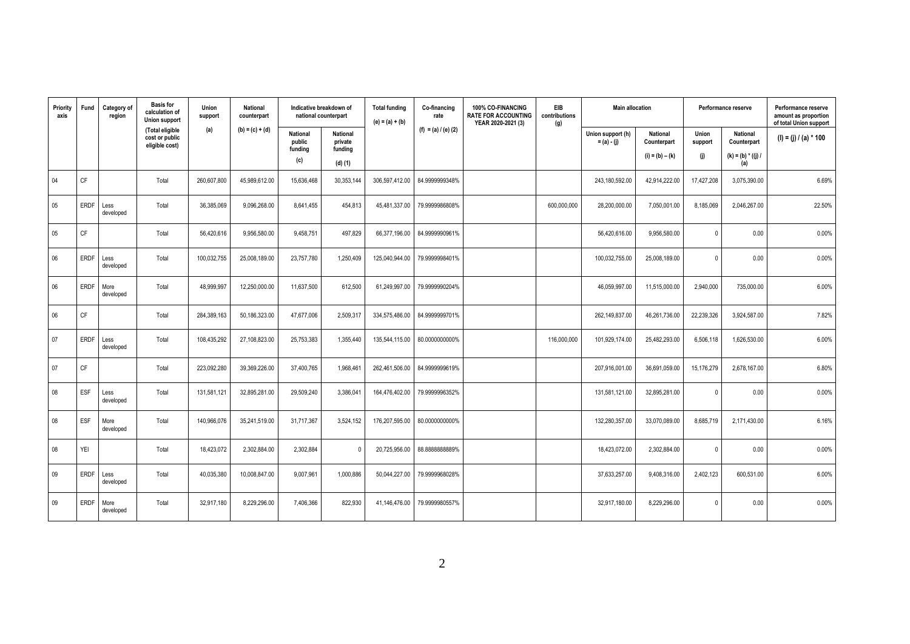| Priority<br>axis | Fund        | Category of<br>region | <b>Basis for</b><br>calculation of<br>Union support | Union<br>support | <b>National</b><br>counterpart | Indicative breakdown of<br>national counterpart |                                       | <b>Total funding</b><br>Co-financing<br>rate<br>$(e) = (a) + (b)$ |                       | 100% CO-FINANCING<br><b>RATE FOR ACCOUNTING</b><br>YEAR 2020-2021 (3) | EIB<br>contributions<br>(g) | <b>Main allocation</b>             |                                | Performance reserve |                                | Performance reserve<br>amount as proportion<br>of total Union support |
|------------------|-------------|-----------------------|-----------------------------------------------------|------------------|--------------------------------|-------------------------------------------------|---------------------------------------|-------------------------------------------------------------------|-----------------------|-----------------------------------------------------------------------|-----------------------------|------------------------------------|--------------------------------|---------------------|--------------------------------|-----------------------------------------------------------------------|
|                  |             |                       | (Total eligible<br>cost or public<br>eligible cost) | (a)              | $(b) = (c) + (d)$              | <b>National</b><br>public<br>funding            | <b>National</b><br>private<br>funding |                                                                   | (f) = (a) $/$ (e) (2) |                                                                       |                             | Union support (h)<br>$= (a) - (j)$ | <b>National</b><br>Counterpart | Union<br>support    | <b>National</b><br>Counterpart | (I) = (j) / (a) * 100                                                 |
|                  |             |                       |                                                     |                  |                                | (c)                                             | $(d)$ $(1)$                           |                                                                   |                       |                                                                       |                             |                                    | $(i) = (b) - (k)$              | (j)                 | $(k) = (b) * ((j) / j)$<br>(a) |                                                                       |
| 04               | CF          |                       | Total                                               | 260,607,800      | 45,989,612.00                  | 15,636,468                                      | 30,353,144                            | 306,597,412.00                                                    | 84.9999999348%        |                                                                       |                             | 243,180,592.00                     | 42,914,222.00                  | 17,427,208          | 3,075,390.00                   | 6.69%                                                                 |
| 05               | <b>ERDF</b> | Less<br>developed     | Total                                               | 36,385,069       | 9,096,268.00                   | 8,641,455                                       | 454,813                               | 45,481,337.00                                                     | 79.9999986808%        |                                                                       | 600,000,000                 | 28,200,000.00                      | 7,050,001.00                   | 8,185,069           | 2,046,267.00                   | 22.50%                                                                |
| 05               | CF          |                       | Total                                               | 56,420,616       | 9,956,580.00                   | 9,458,751                                       | 497,829                               | 66,377,196.00                                                     | 84.9999990961%        |                                                                       |                             | 56,420,616.00                      | 9,956,580.00                   | $\mathbf{0}$        | 0.00                           | 0.00%                                                                 |
| 06               | <b>ERDF</b> | Less<br>developed     | Total                                               | 100,032,755      | 25,008,189.00                  | 23,757,780                                      | 1,250,409                             | 125,040,944.00                                                    | 79.9999998401%        |                                                                       |                             | 100,032,755.00                     | 25,008,189.00                  |                     | 0.00                           | 0.00%                                                                 |
| 06               | <b>ERDF</b> | More<br>developed     | Total                                               | 48.999.997       | 12,250,000.00                  | 11,637,500                                      | 612,500                               | 61,249,997.00                                                     | 79.9999990204%        |                                                                       |                             | 46,059,997.00                      | 11,515,000.00                  | 2,940,000           | 735,000.00                     | 6.00%                                                                 |
| 06               | CF          |                       | Total                                               | 284,389,163      | 50,186,323.00                  | 47,677,006                                      | 2,509,317                             | 334.575.486.00                                                    | 84.9999999701%        |                                                                       |                             | 262,149,837.00                     | 46.261.736.00                  | 22,239,326          | 3,924,587.00                   | 7.82%                                                                 |
| 07               | <b>ERDF</b> | Less<br>developed     | Total                                               | 108,435,292      | 27,108,823.00                  | 25,753,383                                      | 1,355,440                             | 135,544,115.00                                                    | 80.0000000000%        |                                                                       | 116,000,000                 | 101,929,174.00                     | 25,482,293.00                  | 6,506,118           | 1,626,530.00                   | 6.00%                                                                 |
| 07               | CF          |                       | Total                                               | 223,092,280      | 39,369,226.00                  | 37,400,765                                      | 1,968,461                             | 262,461,506.00                                                    | 84.9999999619%        |                                                                       |                             | 207,916,001.00                     | 36,691,059.00                  | 15,176,279          | 2,678,167.00                   | 6.80%                                                                 |
| 08               | ESF         | Less<br>developed     | Total                                               | 131,581,121      | 32,895,281.00                  | 29,509,240                                      | 3,386,041                             | 164,476,402.00                                                    | 79.9999996352%        |                                                                       |                             | 131,581,121.00                     | 32,895,281.00                  |                     | 0.00                           | 0.00%                                                                 |
| 08               | ESF         | More<br>developed     | Total                                               | 140,966,076      | 35,241,519.00                  | 31,717,367                                      | 3,524,152                             | 176,207,595.00                                                    | 80.0000000000%        |                                                                       |                             | 132,280,357.00                     | 33,070,089.00                  | 8,685,719           | 2,171,430.00                   | 6.16%                                                                 |
| 08               | YEI         |                       | Total                                               | 18,423,072       | 2,302,884.00                   | 2,302,884                                       | $\Omega$                              | 20,725,956.00                                                     | 88.888888889%         |                                                                       |                             | 18,423,072.00                      | 2,302,884.00                   |                     | 0.00                           | 0.00%                                                                 |
| 09               | <b>ERDF</b> | Less<br>developed     | Total                                               | 40,035,380       | 10,008,847.00                  | 9,007,961                                       | 1,000,886                             | 50,044,227.00                                                     | 79.9999968028%        |                                                                       |                             | 37,633,257.00                      | 9,408,316.00                   | 2,402,123           | 600.531.00                     | 6.00%                                                                 |
| 09               | <b>ERDF</b> | More<br>developed     | Total                                               | 32,917,180       | 8,229,296.00                   | 7,406,366                                       | 822.930                               | 41,146,476.00                                                     | 79.9999980557%        |                                                                       |                             | 32,917,180.00                      | 8,229,296.00                   | $\Omega$            | 0.00                           | 0.00%                                                                 |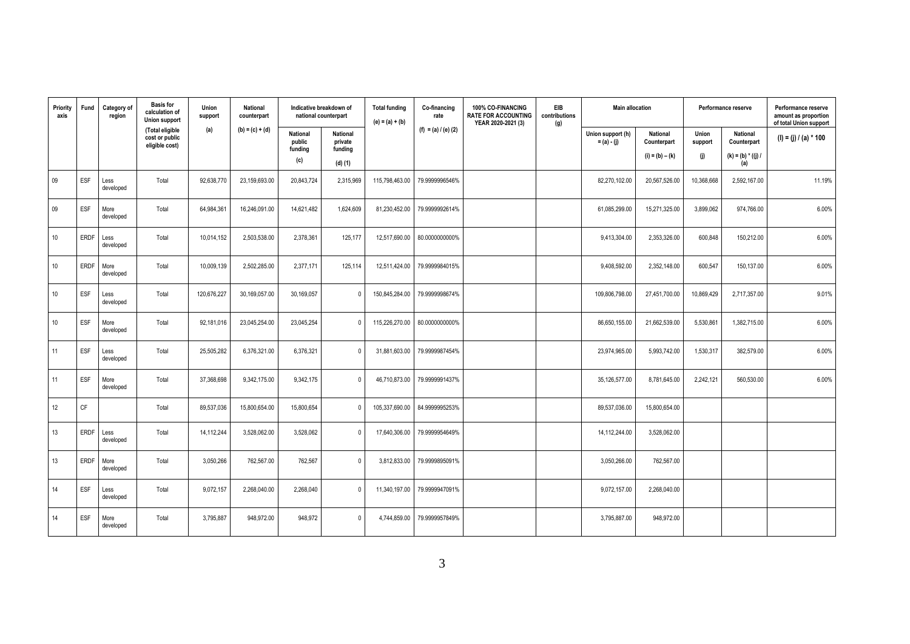| Priority<br>axis | Fund        | Category of<br>region | <b>Basis for</b><br>calculation of<br><b>Union support</b> | Union<br>support | National<br>counterpart | Indicative breakdown of<br>national counterpart |                                       | <b>Total funding</b><br>$(e) = (a) + (b)$ | Co-financing<br>rate  | 100% CO-FINANCING<br><b>RATE FOR ACCOUNTING</b><br>YEAR 2020-2021 (3) | <b>EIB</b><br>contributions<br>(g) | <b>Main allocation</b>             |                                | Performance reserve |                                | Performance reserve<br>amount as proportion<br>of total Union support |
|------------------|-------------|-----------------------|------------------------------------------------------------|------------------|-------------------------|-------------------------------------------------|---------------------------------------|-------------------------------------------|-----------------------|-----------------------------------------------------------------------|------------------------------------|------------------------------------|--------------------------------|---------------------|--------------------------------|-----------------------------------------------------------------------|
|                  |             |                       | (Total eligible<br>cost or public<br>eligible cost)        | (a)              | $(b) = (c) + (d)$       | <b>National</b><br>public<br>funding            | <b>National</b><br>private<br>funding |                                           | (f) = (a) $/$ (e) (2) |                                                                       |                                    | Union support (h)<br>$= (a) - (j)$ | <b>National</b><br>Counterpart | Union<br>support    | <b>National</b><br>Counterpart | (I) = (j) / (a) * 100                                                 |
|                  |             |                       |                                                            |                  |                         | (c)                                             | $(d)$ $(1)$                           |                                           |                       |                                                                       |                                    |                                    | $(i) = (b) - (k)$              | (i)                 | $(k) = (b) * ((j) / j)$<br>(a) |                                                                       |
| 09               | <b>ESF</b>  | Less<br>developed     | Total                                                      | 92,638,770       | 23,159,693.00           | 20,843,724                                      | 2,315,969                             | 115,798,463.00                            | 79.9999996546%        |                                                                       |                                    | 82,270,102.00                      | 20,567,526.00                  | 10,368,668          | 2,592,167.00                   | 11.19%                                                                |
| 09               | <b>ESF</b>  | More<br>developed     | Total                                                      | 64,984,361       | 16,246,091.00           | 14,621,482                                      | 1,624,609                             | 81,230,452.00                             | 79.9999992614%        |                                                                       |                                    | 61,085,299.00                      | 15,271,325.00                  | 3,899,062           | 974,766.00                     | 6.00%                                                                 |
| 10               | <b>ERDF</b> | Less<br>developed     | Total                                                      | 10,014,152       | 2,503,538.00            | 2,378,361                                       | 125,177                               | 12,517,690.00                             | 80.0000000000%        |                                                                       |                                    | 9,413,304.00                       | 2,353,326.00                   | 600,848             | 150,212.00                     | 6.00%                                                                 |
| 10               | ERDF        | More<br>developed     | Total                                                      | 10,009,139       | 2,502,285.00            | 2,377,171                                       | 125,114                               | 12,511,424.00                             | 79.9999984015%        |                                                                       |                                    | 9,408,592.00                       | 2,352,148.00                   | 600,547             | 150,137.00                     | 6.00%                                                                 |
| 10               | ESF         | Less<br>developed     | Total                                                      | 120,676,227      | 30,169,057.00           | 30,169,057                                      | $\mathbf 0$                           | 150,845,284.00                            | 79.9999998674%        |                                                                       |                                    | 109,806,798.00                     | 27,451,700.00                  | 10,869,429          | 2,717,357.00                   | 9.01%                                                                 |
| 10 <sup>1</sup>  | ESF         | More<br>developed     | Total                                                      | 92,181,016       | 23,045,254.00           | 23,045,254                                      | $\mathbf 0$                           | 115,226,270.00                            | 80.0000000000%        |                                                                       |                                    | 86,650,155.00                      | 21,662,539.00                  | 5,530,86            | 1,382,715.00                   | 6.00%                                                                 |
| 11               | ESF         | Less<br>developed     | Total                                                      | 25,505,282       | 6,376,321.00            | 6,376,321                                       | $\mathbf 0$                           | 31,881,603.00                             | 79.9999987454%        |                                                                       |                                    | 23,974,965.00                      | 5,993,742.00                   | 1,530,317           | 382,579.00                     | 6.00%                                                                 |
| 11               | ESF         | More<br>developed     | Total                                                      | 37,368,698       | 9,342,175.00            | 9,342,175                                       | $\mathbf 0$                           | 46,710,873.00                             | 79.9999991437%        |                                                                       |                                    | 35,126,577.00                      | 8,781,645.00                   | 2,242,121           | 560,530.00                     | 6.00%                                                                 |
| 12               | <b>CF</b>   |                       | Total                                                      | 89,537,036       | 15,800,654.00           | 15,800,654                                      | $\mathbf 0$                           | 105,337,690.00                            | 84.9999995253%        |                                                                       |                                    | 89,537,036.00                      | 15,800,654.00                  |                     |                                |                                                                       |
| 13               | <b>ERDF</b> | Less<br>developed     | Total                                                      | 14,112,244       | 3,528,062.00            | 3,528,062                                       | $\mathbf 0$                           | 17,640,306.00                             | 79.9999954649%        |                                                                       |                                    | 14,112,244.00                      | 3,528,062.00                   |                     |                                |                                                                       |
| 13               | <b>ERDF</b> | More<br>developed     | Total                                                      | 3,050,266        | 762,567.00              | 762,567                                         | $\mathbf 0$                           | 3,812,833.00                              | 79.9999895091%        |                                                                       |                                    | 3,050,266.00                       | 762,567.00                     |                     |                                |                                                                       |
| 14               | <b>ESF</b>  | Less<br>developed     | Total                                                      | 9,072,157        | 2,268,040.00            | 2,268,040                                       | $\mathbf 0$                           | 11,340,197.00                             | 79.9999947091%        |                                                                       |                                    | 9,072,157.00                       | 2,268,040.00                   |                     |                                |                                                                       |
| 14               | ESF         | More<br>developed     | Total                                                      | 3.795.887        | 948.972.00              | 948,972                                         | $\mathbf 0$                           | 4.744.859.00                              | 79.9999957849%        |                                                                       |                                    | 3,795,887.00                       | 948,972.00                     |                     |                                |                                                                       |